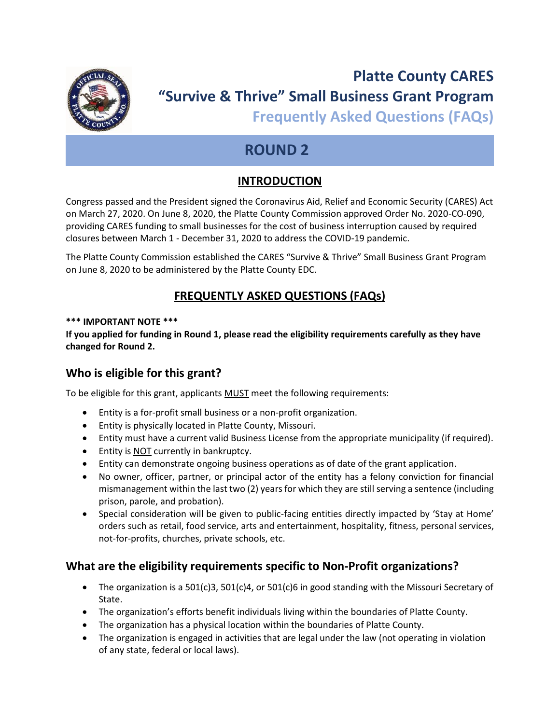

# **Platte County CARES "Survive & Thrive" Small Business Grant Program**

**Frequently Asked Questions (FAQs)**

# **ROUND 2**

# **INTRODUCTION**

Congress passed and the President signed the Coronavirus Aid, Relief and Economic Security (CARES) Act on March 27, 2020. On June 8, 2020, the Platte County Commission approved Order No. 2020-CO-090, providing CARES funding to small businesses for the cost of business interruption caused by required closures between March 1 - December 31, 2020 to address the COVID-19 pandemic.

The Platte County Commission established the CARES "Survive & Thrive" Small Business Grant Program on June 8, 2020 to be administered by the Platte County EDC.

# **FREQUENTLY ASKED QUESTIONS (FAQs)**

#### **\*\*\* IMPORTANT NOTE \*\*\***

**If you applied for funding in Round 1, please read the eligibility requirements carefully as they have changed for Round 2.**

# **Who is eligible for this grant?**

To be eligible for this grant, applicants MUST meet the following requirements:

- Entity is a for-profit small business or a non-profit organization.
- Entity is physically located in Platte County, Missouri.
- Entity must have a current valid Business License from the appropriate municipality (if required).
- Entity is NOT currently in bankruptcy.
- Entity can demonstrate ongoing business operations as of date of the grant application.
- No owner, officer, partner, or principal actor of the entity has a felony conviction for financial mismanagement within the last two (2) years for which they are still serving a sentence (including prison, parole, and probation).
- Special consideration will be given to public-facing entities directly impacted by 'Stay at Home' orders such as retail, food service, arts and entertainment, hospitality, fitness, personal services, not-for-profits, churches, private schools, etc.

# **What are the eligibility requirements specific to Non-Profit organizations?**

- The organization is a 501(c)3, 501(c)4, or 501(c)6 in good standing with the Missouri Secretary of State.
- The organization's efforts benefit individuals living within the boundaries of Platte County.
- The organization has a physical location within the boundaries of Platte County.
- The organization is engaged in activities that are legal under the law (not operating in violation of any state, federal or local laws).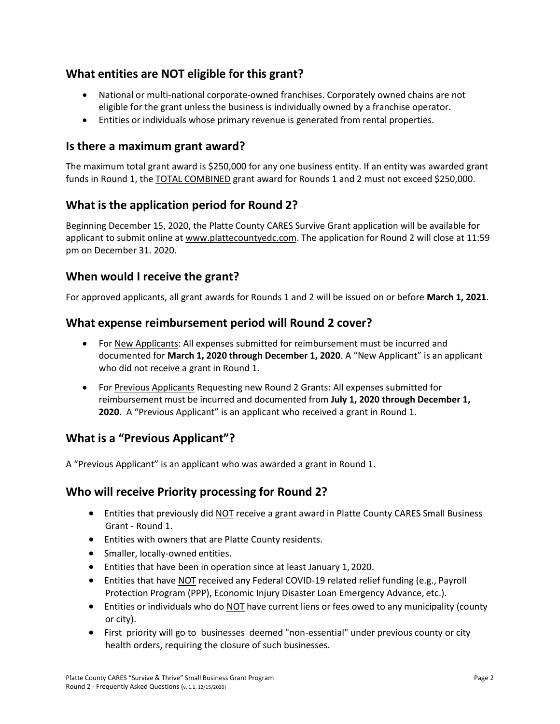# **What entities are NOT eligible for this grant?**

- National or multi-national corporate-owned franchises. Corporately owned chains are not eligible for the grant unless the business is individually owned by a franchise operator.
- Entities or individuals whose primary revenue is generated from rental properties.

#### **Is there a maximum grant award?**

The maximum total grant award is \$250,000 for any one business entity. If an entity was awarded grant funds in Round 1, the **TOTAL COMBINED** grant award for Rounds 1 and 2 must not exceed \$250,000.

# **What is the application period for Round 2?**

Beginning December 15, 2020, the Platte County CARES Survive Grant application will be available for applicant to submit online at [www.plattecountyedc.com.](http://www.plattecountyedc.com/) The application for Round 2 will close at 11:59 pm on December 31. 2020.

#### **When would I receive the grant?**

For approved applicants, all grant awards for Rounds 1 and 2 will be issued on or before **March 1, 2021**.

#### **What expense reimbursement period will Round 2 cover?**

- For New Applicants: All expenses submitted for reimbursement must be incurred and documented for **March 1, 2020 through December 1, 2020**. A "New Applicant" is an applicant who did not receive a grant in Round 1.
- For Previous Applicants Requesting new Round 2 Grants: All expenses submitted for reimbursement must be incurred and documented from **July 1, 2020 through December 1, 2020**. A "Previous Applicant" is an applicant who received a grant in Round 1.

# **What is a "Previous Applicant"?**

A "Previous Applicant" is an applicant who was awarded a grant in Round 1.

# **Who will receive Priority processing for Round 2?**

- Entities that previously did NOT receive a grant award in Platte County CARES Small Business Grant - Round 1.
- Entities with owners that are Platte County residents.
- Smaller, locally-owned entities.
- Entities that have been in operation since at least January 1, 2020.
- Entities that have NOT received any Federal COVID-19 related relief funding (e.g., Payroll Protection Program (PPP), Economic Injury Disaster Loan Emergency Advance, etc.).
- Entities or individuals who do NOT have current liens or fees owed to any municipality (county or city).
- First priority will go to businesses deemed "non-essential" under previous county or city health orders, requiring the closure of such businesses.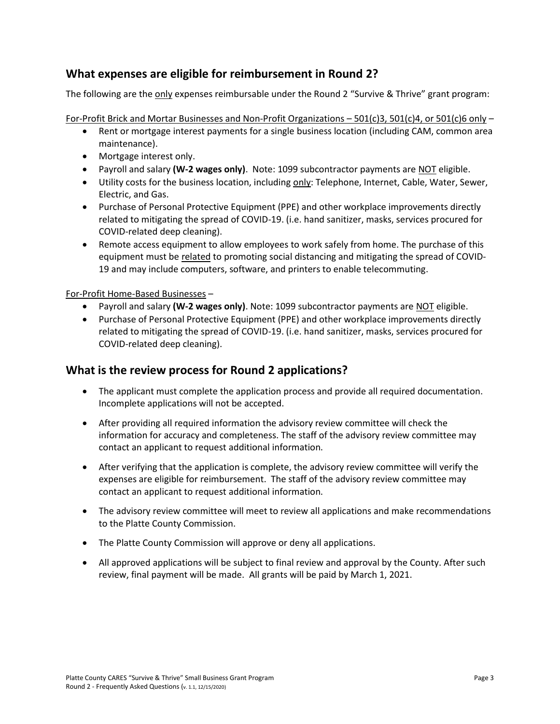# **What expenses are eligible for reimbursement in Round 2?**

The following are the only expenses reimbursable under the Round 2 "Survive & Thrive" grant program:

For-Profit Brick and Mortar Businesses and Non-Profit Organizations – 501(c)3, 501(c)4, or 501(c)6 only –

- Rent or mortgage interest payments for a single business location (including CAM, common area maintenance).
- Mortgage interest only.
- Payroll and salary **(W-2 wages only)**. Note: 1099 subcontractor payments are NOT eligible.
- Utility costs for the business location, including only: Telephone, Internet, Cable, Water, Sewer, Electric, and Gas.
- Purchase of Personal Protective Equipment (PPE) and other workplace improvements directly related to mitigating the spread of COVID-19. (i.e. hand sanitizer, masks, services procured for COVID-related deep cleaning).
- Remote access equipment to allow employees to work safely from home. The purchase of this equipment must be related to promoting social distancing and mitigating the spread of COVID-19 and may include computers, software, and printers to enable telecommuting.

#### For-Profit Home-Based Businesses –

- Payroll and salary **(W-2 wages only)**. Note: 1099 subcontractor payments are NOT eligible.
- Purchase of Personal Protective Equipment (PPE) and other workplace improvements directly related to mitigating the spread of COVID-19. (i.e. hand sanitizer, masks, services procured for COVID-related deep cleaning).

# **What is the review process for Round 2 applications?**

- The applicant must complete the application process and provide all required documentation. Incomplete applications will not be accepted.
- After providing all required information the advisory review committee will check the information for accuracy and completeness. The staff of the advisory review committee may contact an applicant to request additional information.
- After verifying that the application is complete, the advisory review committee will verify the expenses are eligible for reimbursement. The staff of the advisory review committee may contact an applicant to request additional information.
- The advisory review committee will meet to review all applications and make recommendations to the Platte County Commission.
- The Platte County Commission will approve or deny all applications.
- All approved applications will be subject to final review and approval by the County. After such review, final payment will be made. All grants will be paid by March 1, 2021.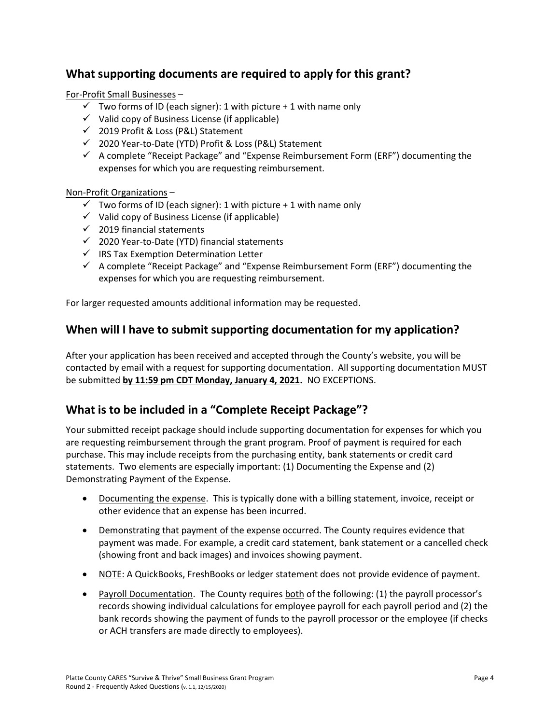# **What supporting documents are required to apply for this grant?**

For-Profit Small Businesses –

- $\checkmark$  Two forms of ID (each signer): 1 with picture + 1 with name only
- $\checkmark$  Valid copy of Business License (if applicable)
- ✓ 2019 Profit & Loss (P&L) Statement
- ✓ 2020 Year-to-Date (YTD) Profit & Loss (P&L) Statement
- ✓ A complete "Receipt Package" and "Expense Reimbursement Form (ERF") documenting the expenses for which you are requesting reimbursement.

#### Non-Profit Organizations –

- $\checkmark$  Two forms of ID (each signer): 1 with picture + 1 with name only
- ✓ Valid copy of Business License (if applicable)
- $\checkmark$  2019 financial statements
- ✓ 2020 Year-to-Date (YTD) financial statements
- ✓ IRS Tax Exemption Determination Letter
- $\checkmark$  A complete "Receipt Package" and "Expense Reimbursement Form (ERF") documenting the expenses for which you are requesting reimbursement.

For larger requested amounts additional information may be requested.

# **When will I have to submit supporting documentation for my application?**

After your application has been received and accepted through the County's website, you will be contacted by email with a request for supporting documentation. All supporting documentation MUST be submitted **by 11:59 pm CDT Monday, January 4, 2021.** NO EXCEPTIONS.

# **What is to be included in a "Complete Receipt Package"?**

Your submitted receipt package should include supporting documentation for expenses for which you are requesting reimbursement through the grant program. Proof of payment is required for each purchase. This may include receipts from the purchasing entity, bank statements or credit card statements. Two elements are especially important: (1) Documenting the Expense and (2) Demonstrating Payment of the Expense.

- Documenting the expense. This is typically done with a billing statement, invoice, receipt or other evidence that an expense has been incurred.
- Demonstrating that payment of the expense occurred. The County requires evidence that payment was made. For example, a credit card statement, bank statement or a cancelled check (showing front and back images) and invoices showing payment.
- NOTE: A QuickBooks, FreshBooks or ledger statement does not provide evidence of payment.
- Payroll Documentation. The County requires both of the following: (1) the payroll processor's records showing individual calculations for employee payroll for each payroll period and (2) the bank records showing the payment of funds to the payroll processor or the employee (if checks or ACH transfers are made directly to employees).